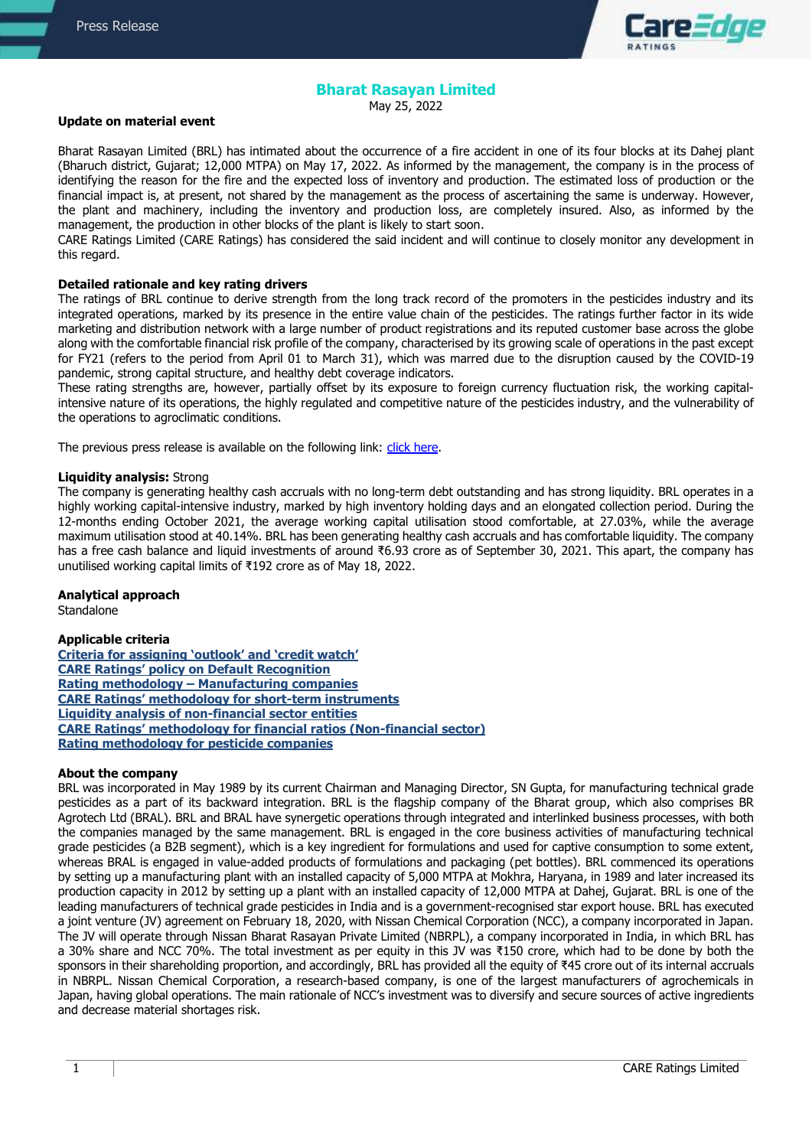

# **Bharat Rasayan Limited**

May 25, 2022

### **Update on material event**

Bharat Rasayan Limited (BRL) has intimated about the occurrence of a fire accident in one of its four blocks at its Dahej plant (Bharuch district, Gujarat; 12,000 MTPA) on May 17, 2022. As informed by the management, the company is in the process of identifying the reason for the fire and the expected loss of inventory and production. The estimated loss of production or the financial impact is, at present, not shared by the management as the process of ascertaining the same is underway. However, the plant and machinery, including the inventory and production loss, are completely insured. Also, as informed by the management, the production in other blocks of the plant is likely to start soon.

CARE Ratings Limited (CARE Ratings) has considered the said incident and will continue to closely monitor any development in this regard.

### **Detailed rationale and key rating drivers**

The ratings of BRL continue to derive strength from the long track record of the promoters in the pesticides industry and its integrated operations, marked by its presence in the entire value chain of the pesticides. The ratings further factor in its wide marketing and distribution network with a large number of product registrations and its reputed customer base across the globe along with the comfortable financial risk profile of the company, characterised by its growing scale of operations in the past except for FY21 (refers to the period from April 01 to March 31), which was marred due to the disruption caused by the COVID-19 pandemic, strong capital structure, and healthy debt coverage indicators.

These rating strengths are, however, partially offset by its exposure to foreign currency fluctuation risk, the working capitalintensive nature of its operations, the highly regulated and competitive nature of the pesticides industry, and the vulnerability of the operations to agroclimatic conditions.

The previous press release is available on the following link: [click here.](https://www.careratings.com/upload/CompanyFiles/PR/23122021065821_Bharat_Rasayan_Limited.pdf)

#### **Liquidity analysis:** Strong

The company is generating healthy cash accruals with no long-term debt outstanding and has strong liquidity. BRL operates in a highly working capital-intensive industry, marked by high inventory holding days and an elongated collection period. During the 12-months ending October 2021, the average working capital utilisation stood comfortable, at 27.03%, while the average maximum utilisation stood at 40.14%. BRL has been generating healthy cash accruals and has comfortable liquidity. The company has a free cash balance and liquid investments of around ₹6.93 crore as of September 30, 2021. This apart, the company has unutilised working capital limits of ₹192 crore as of May 18, 2022.

### **Analytical approach**

Standalone

### **Applicable criteria**

**Criteria for [assigning 'outlook' and 'credit watch'](https://www.careratings.com/pdf/resources/Rating%20Outlook%20and%20credit%20watch%20_30May%202020.pdf) CARE Ratings' [policy on Default Recognition](https://www.careratings.com/pdf/resources/CARE) Rating methodology – [Manufacturing companies](https://www.careratings.com/upload/NewsFiles/GetRated/Rating%20Methodology%20-%20Manufacturing%20Companies_16Sept2019.pdf) CARE Ratings' methodology for [short-term instruments](https://www.careratings.com/upload/NewsFiles/GetRated/Short%20Term%20Instruments%20_Feb2021.pdf) [Liquidity analysis of non-financial sector entities](https://www.careratings.com/pdf/resources/Liquidity%20Analysis%20of%20Non-Financial%20Sector%20entities_May2020.pdf) CARE Ratings[' methodology for financial ratios \(Non](https://www.careratings.com/pdf/resources/Financial%20ratios%20-%20Non%20Financial%20Sector-Sept2019.pdf)-financial sector) [Rating methodology for pesticide companies](https://www.careratings.com/upload/NewsFiles/GetRated/Rating%20Methodology-Pesticides_November2020.pdf)**

### **About the company**

BRL was incorporated in May 1989 by its current Chairman and Managing Director, SN Gupta, for manufacturing technical grade pesticides as a part of its backward integration. BRL is the flagship company of the Bharat group, which also comprises BR Agrotech Ltd (BRAL). BRL and BRAL have synergetic operations through integrated and interlinked business processes, with both the companies managed by the same management. BRL is engaged in the core business activities of manufacturing technical grade pesticides (a B2B segment), which is a key ingredient for formulations and used for captive consumption to some extent, whereas BRAL is engaged in value-added products of formulations and packaging (pet bottles). BRL commenced its operations by setting up a manufacturing plant with an installed capacity of 5,000 MTPA at Mokhra, Haryana, in 1989 and later increased its production capacity in 2012 by setting up a plant with an installed capacity of 12,000 MTPA at Dahej, Gujarat. BRL is one of the leading manufacturers of technical grade pesticides in India and is a government-recognised star export house. BRL has executed a joint venture (JV) agreement on February 18, 2020, with Nissan Chemical Corporation (NCC), a company incorporated in Japan. The JV will operate through Nissan Bharat Rasayan Private Limited (NBRPL), a company incorporated in India, in which BRL has a 30% share and NCC 70%. The total investment as per equity in this JV was ₹150 crore, which had to be done by both the sponsors in their shareholding proportion, and accordingly, BRL has provided all the equity of ₹45 crore out of its internal accruals in NBRPL. Nissan Chemical Corporation, a research-based company, is one of the largest manufacturers of agrochemicals in Japan, having global operations. The main rationale of NCC's investment was to diversify and secure sources of active ingredients and decrease material shortages risk.